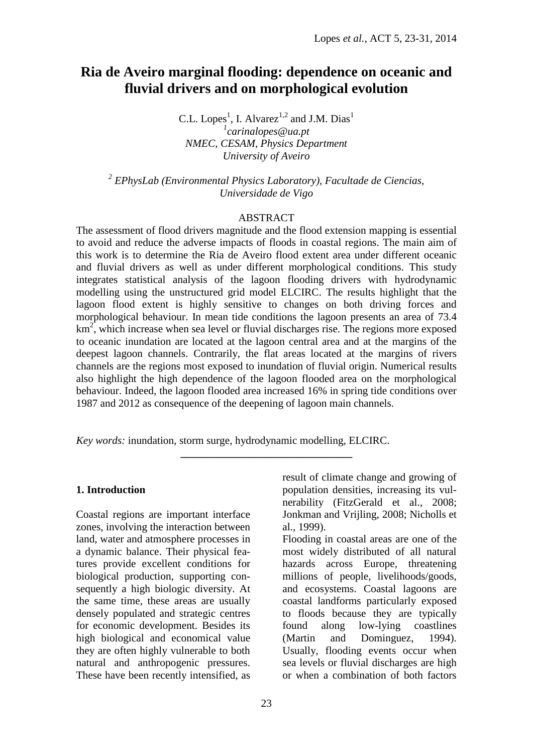# **Ria de Aveiro marginal flooding: dependence on oceanic and fluvial drivers and on morphological evolution**

C.L. Lopes<sup>1</sup>, I. Alvarez<sup>1,2</sup> and J.M. Dias<sup>1</sup> *1 carinalopes@ua.pt NMEC, CESAM, Physics Department University of Aveiro*

*2 EPhysLab (Environmental Physics Laboratory), Facultade de Ciencias, Universidade de Vigo*

### ABSTRACT

The assessment of flood drivers magnitude and the flood extension mapping is essential to avoid and reduce the adverse impacts of floods in coastal regions. The main aim of this work is to determine the Ria de Aveiro flood extent area under different oceanic and fluvial drivers as well as under different morphological conditions. This study integrates statistical analysis of the lagoon flooding drivers with hydrodynamic modelling using the unstructured grid model ELCIRC. The results highlight that the lagoon flood extent is highly sensitive to changes on both driving forces and morphological behaviour. In mean tide conditions the lagoon presents an area of 73.4  $km<sup>2</sup>$ , which increase when sea level or fluvial discharges rise. The regions more exposed to oceanic inundation are located at the lagoon central area and at the margins of the deepest lagoon channels. Contrarily, the flat areas located at the margins of rivers channels are the regions most exposed to inundation of fluvial origin. Numerical results also highlight the high dependence of the lagoon flooded area on the morphological behaviour. Indeed, the lagoon flooded area increased 16% in spring tide conditions over 1987 and 2012 as consequence of the deepening of lagoon main channels.

**\_\_\_\_\_\_\_\_\_\_\_\_\_\_\_\_\_\_\_\_\_\_\_\_\_\_\_\_\_\_\_\_**

*Key words:* inundation, storm surge, hydrodynamic modelling, ELCIRC.

### **1. Introduction**

Coastal regions are important interface zones, involving the interaction between land, water and atmosphere processes in a dynamic balance. Their physical features provide excellent conditions for biological production, supporting consequently a high biologic diversity. At the same time, these areas are usually densely populated and strategic centres for economic development. Besides its high biological and economical value they are often highly vulnerable to both natural and anthropogenic pressures. These have been recently intensified, as

result of climate change and growing of population densities, increasing its vulnerability (FitzGerald et al., 2008; Jonkman and Vrijling, 2008; Nicholls et al., 1999).

Flooding in coastal areas are one of the most widely distributed of all natural hazards across Europe, threatening millions of people, livelihoods/goods, and ecosystems. Coastal lagoons are coastal landforms particularly exposed to floods because they are typically found along low-lying coastlines (Martin and Dominguez, 1994). Usually, flooding events occur when sea levels or fluvial discharges are high or when a combination of both factors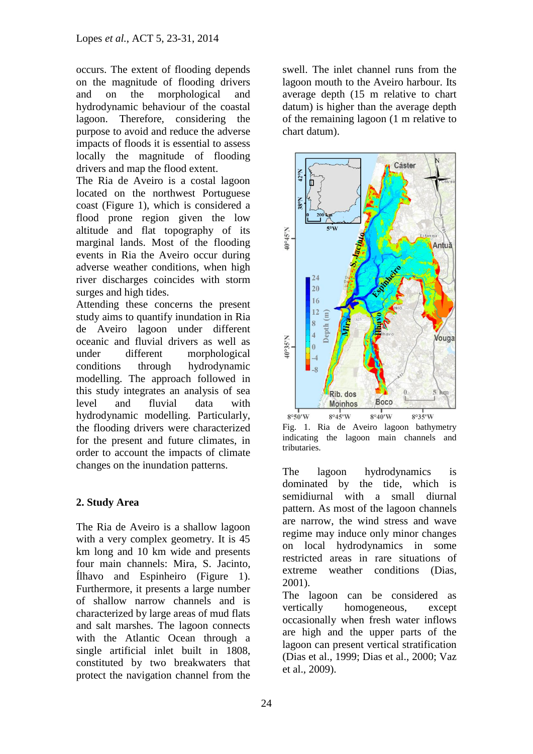occurs. The extent of flooding depends on the magnitude of flooding drivers and on the morphological and hydrodynamic behaviour of the coastal lagoon. Therefore, considering the purpose to avoid and reduce the adverse impacts of floods it is essential to assess locally the magnitude of flooding drivers and map the flood extent.

The Ria de Aveiro is a costal lagoon located on the northwest Portuguese coast (Figure 1), which is considered a flood prone region given the low altitude and flat topography of its marginal lands. Most of the flooding events in Ria the Aveiro occur during adverse weather conditions, when high river discharges coincides with storm surges and high tides.

Attending these concerns the present study aims to quantify inundation in Ria de Aveiro lagoon under different oceanic and fluvial drivers as well as under different morphological conditions through hydrodynamic modelling. The approach followed in this study integrates an analysis of sea level and fluvial data with hydrodynamic modelling. Particularly, the flooding drivers were characterized for the present and future climates, in order to account the impacts of climate changes on the inundation patterns.

# **2. Study Area**

The Ria de Aveiro is a shallow lagoon with a very complex geometry. It is 45 km long and 10 km wide and presents four main channels: Mira, S. Jacinto, Ílhavo and Espinheiro (Figure 1). Furthermore, it presents a large number of shallow narrow channels and is characterized by large areas of mud flats and salt marshes. The lagoon connects with the Atlantic Ocean through a single artificial inlet built in 1808, constituted by two breakwaters that protect the navigation channel from the swell. The inlet channel runs from the lagoon mouth to the Aveiro harbour. Its average depth (15 m relative to chart datum) is higher than the average depth of the remaining lagoon (1 m relative to chart datum).



Fig. 1. Ria de Aveiro lagoon bathymetry indicating the lagoon main channels and tributaries.

The lagoon hydrodynamics is dominated by the tide, which is semidiurnal with a small diurnal pattern. As most of the lagoon channels are narrow, the wind stress and wave regime may induce only minor changes on local hydrodynamics in some restricted areas in rare situations of extreme weather conditions (Dias, 2001).

The lagoon can be considered as vertically homogeneous, except occasionally when fresh water inflows are high and the upper parts of the lagoon can present vertical stratification (Dias et al., 1999; Dias et al., 2000; Vaz et al., 2009).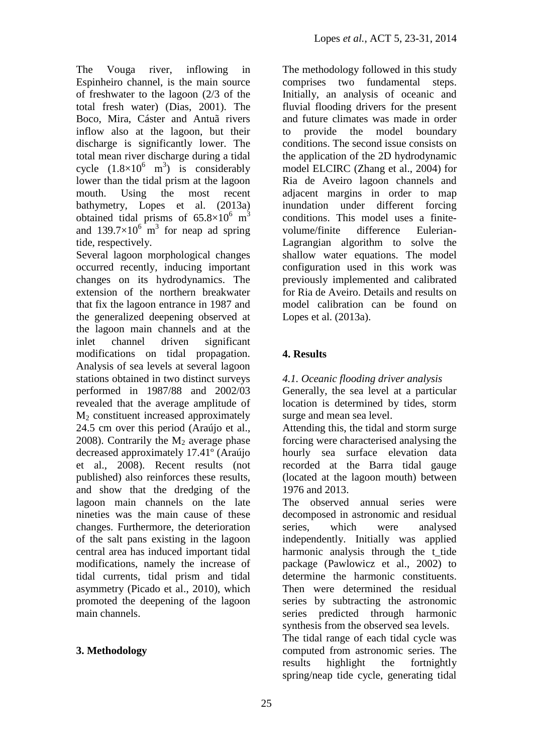The Vouga river, inflowing in Espinheiro channel, is the main source of freshwater to the lagoon (2/3 of the total fresh water) (Dias, 2001). The Boco, Mira, Cáster and Antuã rivers inflow also at the lagoon, but their discharge is significantly lower. The total mean river discharge during a tidal cycle  $(1.8\times10^{6} \text{ m}^3)$  is considerably lower than the tidal prism at the lagoon mouth. Using the most recent bathymetry, Lopes et al. (2013a) obtained tidal prisms of  $65.8 \times 10^6$  m<sup>3</sup> and  $139.7 \times 10^6$  m<sup>3</sup> for neap ad spring tide, respectively.

Several lagoon morphological changes occurred recently, inducing important changes on its hydrodynamics. The extension of the northern breakwater that fix the lagoon entrance in 1987 and the generalized deepening observed at the lagoon main channels and at the inlet channel driven significant modifications on tidal propagation. Analysis of sea levels at several lagoon stations obtained in two distinct surveys performed in 1987/88 and 2002/03 revealed that the average amplitude of M<sup>2</sup> constituent increased approximately 24.5 cm over this period (Araújo et al., 2008). Contrarily the  $M_2$  average phase decreased approximately 17.41º (Araújo et al., 2008). Recent results (not published) also reinforces these results, and show that the dredging of the lagoon main channels on the late nineties was the main cause of these changes. Furthermore, the deterioration of the salt pans existing in the lagoon central area has induced important tidal modifications, namely the increase of tidal currents, tidal prism and tidal asymmetry (Picado et al., 2010), which promoted the deepening of the lagoon main channels.

# **3. Methodology**

The methodology followed in this study comprises two fundamental steps. Initially, an analysis of oceanic and fluvial flooding drivers for the present and future climates was made in order to provide the model boundary conditions. The second issue consists on the application of the 2D hydrodynamic model ELCIRC (Zhang et al., 2004) for Ria de Aveiro lagoon channels and adjacent margins in order to map inundation under different forcing conditions. This model uses a finitevolume/finite difference Eulerian-Lagrangian algorithm to solve the shallow water equations. The model configuration used in this work was previously implemented and calibrated for Ria de Aveiro. Details and results on model calibration can be found on Lopes et al. (2013a).

# **4. Results**

*4.1. Oceanic flooding driver analysis*

Generally, the sea level at a particular location is determined by tides, storm surge and mean sea level.

Attending this, the tidal and storm surge forcing were characterised analysing the hourly sea surface elevation data recorded at the Barra tidal gauge (located at the lagoon mouth) between 1976 and 2013.

The observed annual series were decomposed in astronomic and residual series, which were analysed independently. Initially was applied harmonic analysis through the t\_tide package (Pawlowicz et al., 2002) to determine the harmonic constituents. Then were determined the residual series by subtracting the astronomic series predicted through harmonic synthesis from the observed sea levels. The tidal range of each tidal cycle was computed from astronomic series. The results highlight the fortnightly spring/neap tide cycle, generating tidal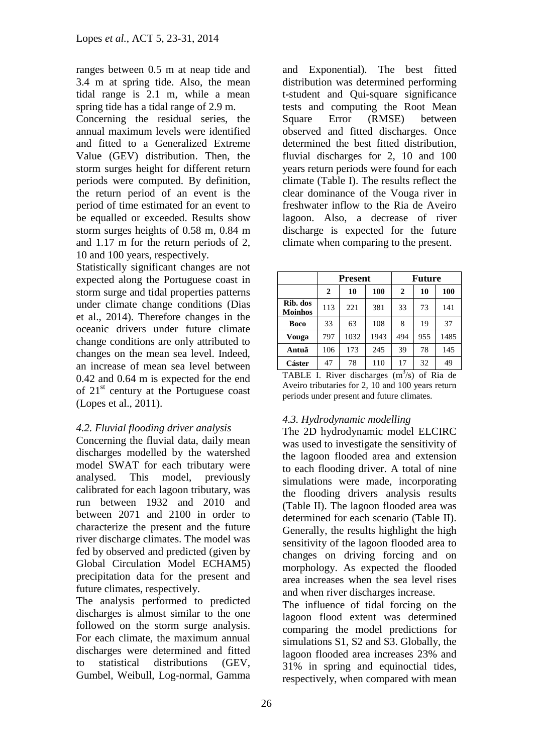ranges between 0.5 m at neap tide and 3.4 m at spring tide. Also, the mean tidal range is 2.1 m, while a mean spring tide has a tidal range of 2.9 m.

Concerning the residual series, the annual maximum levels were identified and fitted to a Generalized Extreme Value (GEV) distribution. Then, the storm surges height for different return periods were computed. By definition, the return period of an event is the period of time estimated for an event to be equalled or exceeded. Results show storm surges heights of 0.58 m, 0.84 m and 1.17 m for the return periods of 2, 10 and 100 years, respectively.

Statistically significant changes are not expected along the Portuguese coast in storm surge and tidal properties patterns under climate change conditions (Dias et al., 2014). Therefore changes in the oceanic drivers under future climate change conditions are only attributed to changes on the mean sea level. Indeed, an increase of mean sea level between 0.42 and 0.64 m is expected for the end of  $21<sup>st</sup>$  century at the Portuguese coast (Lopes et al., 2011).

# *4.2. Fluvial flooding driver analysis*

Concerning the fluvial data, daily mean discharges modelled by the watershed model SWAT for each tributary were analysed. This model, previously calibrated for each lagoon tributary, was run between 1932 and 2010 and between 2071 and 2100 in order to characterize the present and the future river discharge climates. The model was fed by observed and predicted (given by Global Circulation Model ECHAM5) precipitation data for the present and future climates, respectively.

The analysis performed to predicted discharges is almost similar to the one followed on the storm surge analysis. For each climate, the maximum annual discharges were determined and fitted to statistical distributions (GEV, Gumbel, Weibull, Log-normal, Gamma and Exponential). The best fitted distribution was determined performing t-student and Qui-square significance tests and computing the Root Mean Square Error (RMSE) between observed and fitted discharges. Once determined the best fitted distribution, fluvial discharges for 2, 10 and 100 years return periods were found for each climate (Table I). The results reflect the clear dominance of the Vouga river in freshwater inflow to the Ria de Aveiro lagoon. Also, a decrease of river discharge is expected for the future climate when comparing to the present.

|                            |     | <b>Present</b> |      | <b>Future</b> |     |      |
|----------------------------|-----|----------------|------|---------------|-----|------|
|                            | 2   | 10             | 100  | 2             | 10  | 100  |
| Rib. dos<br><b>Moinhos</b> | 113 | 221            | 381  | 33            | 73  | 141  |
| Boco                       | 33  | 63             | 108  | 8             | 19  | 37   |
| Vouga                      | 797 | 1032           | 1943 | 494           | 955 | 1485 |
| Antuã                      | 106 | 173            | 245  | 39            | 78  | 145  |
| Cáster                     | 47  | 78             | 110  | 17            | 32  | 49   |

TABLE I. River discharges  $(m<sup>3</sup>/s)$  of Ria de Aveiro tributaries for 2, 10 and 100 years return periods under present and future climates.

# *4.3. Hydrodynamic modelling*

The 2D hydrodynamic model ELCIRC was used to investigate the sensitivity of the lagoon flooded area and extension to each flooding driver. A total of nine simulations were made, incorporating the flooding drivers analysis results (Table II). The lagoon flooded area was determined for each scenario (Table II). Generally, the results highlight the high sensitivity of the lagoon flooded area to changes on driving forcing and on morphology. As expected the flooded area increases when the sea level rises and when river discharges increase.

The influence of tidal forcing on the lagoon flood extent was determined comparing the model predictions for simulations S1, S2 and S3. Globally, the lagoon flooded area increases 23% and 31% in spring and equinoctial tides, respectively, when compared with mean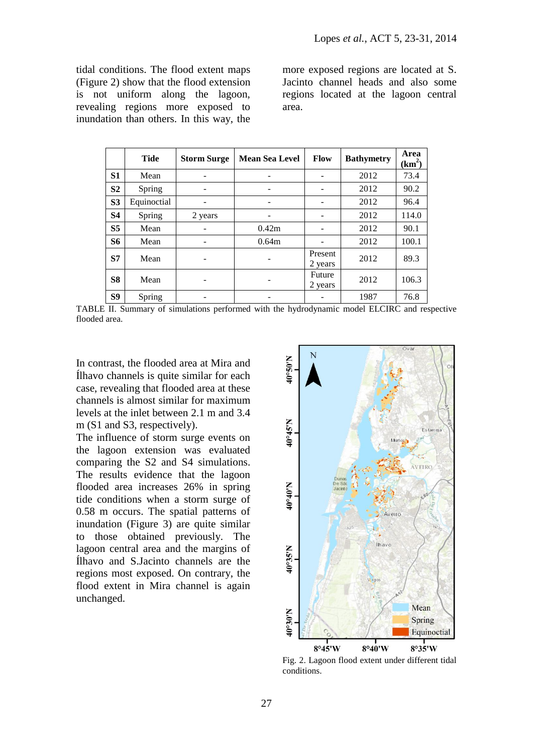tidal conditions. The flood extent maps (Figure 2) show that the flood extension is not uniform along the lagoon, revealing regions more exposed to inundation than others. In this way, the

more exposed regions are located at S. Jacinto channel heads and also some regions located at the lagoon central area.

|                | <b>Tide</b> | <b>Storm Surge</b> | <b>Mean Sea Level</b> | <b>Flow</b>        | <b>Bathymetry</b> | Area<br>$(km^2)$ |
|----------------|-------------|--------------------|-----------------------|--------------------|-------------------|------------------|
| S <sub>1</sub> | Mean        |                    |                       |                    | 2012              | 73.4             |
| S <sub>2</sub> | Spring      |                    |                       |                    | 2012              | 90.2             |
| S <sub>3</sub> | Equinoctial |                    |                       |                    | 2012              | 96.4             |
| <b>S4</b>      | Spring      | 2 years            |                       |                    | 2012              | 114.0            |
| S <sub>5</sub> | Mean        |                    | 0.42m                 |                    | 2012              | 90.1             |
| <b>S6</b>      | Mean        |                    | 0.64m                 |                    | 2012              | 100.1            |
| <b>S7</b>      | Mean        |                    |                       | Present<br>2 years | 2012              | 89.3             |
| S <sub>8</sub> | Mean        |                    |                       | Future<br>2 years  | 2012              | 106.3            |
| S9             | Spring      |                    |                       |                    | 1987              | 76.8             |

TABLE II. Summary of simulations performed with the hydrodynamic model ELCIRC and respective flooded area.

In contrast, the flooded area at Mira and Ílhavo channels is quite similar for each case, revealing that flooded area at these channels is almost similar for maximum levels at the inlet between 2.1 m and 3.4 m (S1 and S3, respectively).

The influence of storm surge events on the lagoon extension was evaluated comparing the S2 and S4 simulations. The results evidence that the lagoon flooded area increases 26% in spring tide conditions when a storm surge of 0.58 m occurs. The spatial patterns of inundation (Figure 3) are quite similar to those obtained previously. The lagoon central area and the margins of Ílhavo and S.Jacinto channels are the regions most exposed. On contrary, the flood extent in Mira channel is again unchanged.



Fig. 2. Lagoon flood extent under different tidal conditions.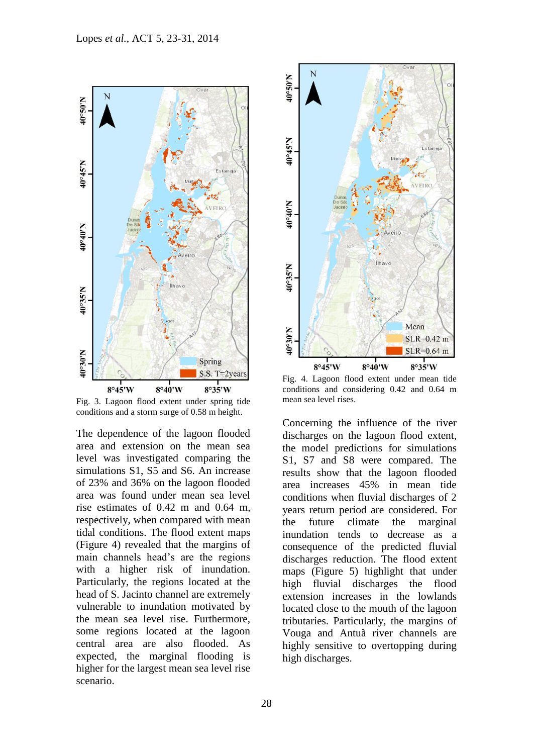

Fig. 3. Lagoon flood extent under spring tide conditions and a storm surge of 0.58 m height.

The dependence of the lagoon flooded area and extension on the mean sea level was investigated comparing the simulations S1, S5 and S6. An increase of 23% and 36% on the lagoon flooded area was found under mean sea level rise estimates of 0.42 m and 0.64 m, respectively, when compared with mean tidal conditions. The flood extent maps (Figure 4) revealed that the margins of main channels head's are the regions with a higher risk of inundation. Particularly, the regions located at the head of S. Jacinto channel are extremely vulnerable to inundation motivated by the mean sea level rise. Furthermore, some regions located at the lagoon central area are also flooded. As expected, the marginal flooding is higher for the largest mean sea level rise scenario.



Fig. 4. Lagoon flood extent under mean tide conditions and considering 0.42 and 0.64 m mean sea level rises.

Concerning the influence of the river discharges on the lagoon flood extent, the model predictions for simulations S1, S7 and S8 were compared. The results show that the lagoon flooded area increases 45% in mean tide conditions when fluvial discharges of 2 years return period are considered. For the future climate the marginal inundation tends to decrease as a consequence of the predicted fluvial discharges reduction. The flood extent maps (Figure 5) highlight that under high fluvial discharges the flood extension increases in the lowlands located close to the mouth of the lagoon tributaries. Particularly, the margins of Vouga and Antuã river channels are highly sensitive to overtopping during high discharges.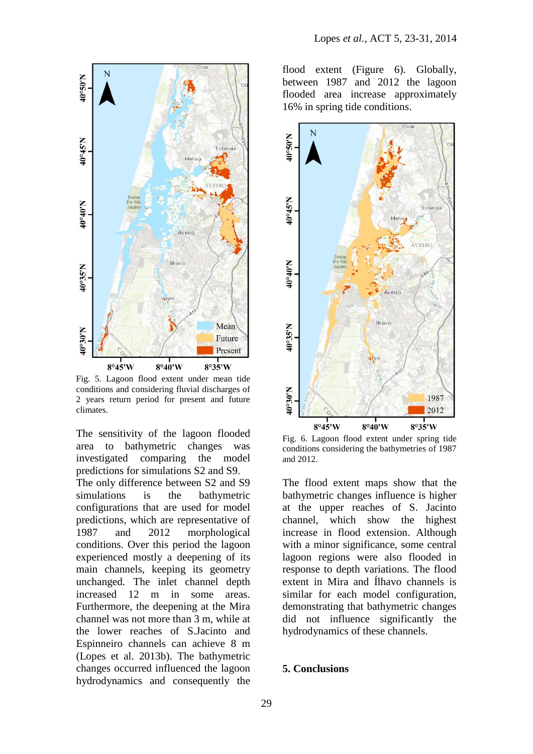

Fig. 5. Lagoon flood extent under mean tide conditions and considering fluvial discharges of 2 years return period for present and future climates.

The sensitivity of the lagoon flooded area to bathymetric changes was investigated comparing the model predictions for simulations S2 and S9. The only difference between S2 and S9 simulations is the bathymetric configurations that are used for model predictions, which are representative of 1987 and 2012 morphological conditions. Over this period the lagoon experienced mostly a deepening of its main channels, keeping its geometry unchanged. The inlet channel depth increased 12 m in some areas. Furthermore, the deepening at the Mira channel was not more than 3 m, while at the lower reaches of S.Jacinto and Espinneiro channels can achieve 8 m (Lopes et al. 2013b). The bathymetric changes occurred influenced the lagoon hydrodynamics and consequently the

flood extent (Figure 6). Globally, between 1987 and 2012 the lagoon flooded area increase approximately 16% in spring tide conditions.



Fig. 6. Lagoon flood extent under spring tide conditions considering the bathymetries of 1987 and 2012.

The flood extent maps show that the bathymetric changes influence is higher at the upper reaches of S. Jacinto channel, which show the highest increase in flood extension. Although with a minor significance, some central lagoon regions were also flooded in response to depth variations. The flood extent in Mira and Ílhavo channels is similar for each model configuration, demonstrating that bathymetric changes did not influence significantly the hydrodynamics of these channels.

### **5. Conclusions**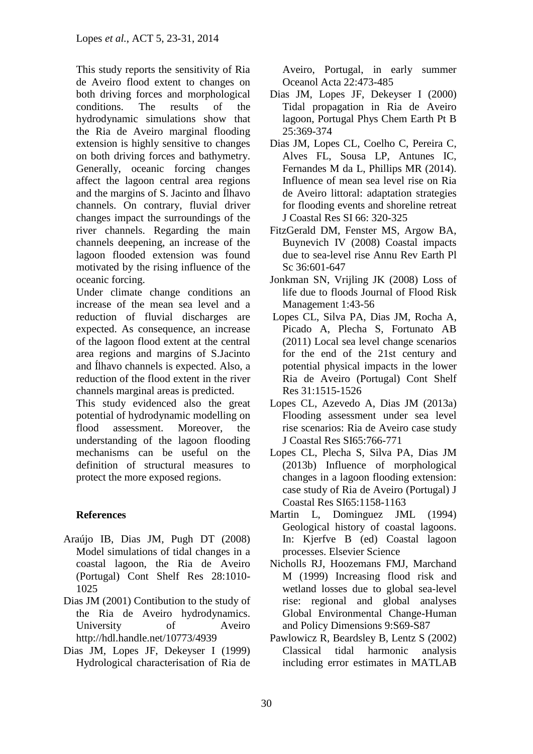This study reports the sensitivity of Ria de Aveiro flood extent to changes on both driving forces and morphological conditions. The results of the hydrodynamic simulations show that the Ria de Aveiro marginal flooding extension is highly sensitive to changes on both driving forces and bathymetry. Generally, oceanic forcing changes affect the lagoon central area regions and the margins of S. Jacinto and Ílhavo channels. On contrary, fluvial driver changes impact the surroundings of the river channels. Regarding the main channels deepening, an increase of the lagoon flooded extension was found motivated by the rising influence of the oceanic forcing.

Under climate change conditions an increase of the mean sea level and a reduction of fluvial discharges are expected. As consequence, an increase of the lagoon flood extent at the central area regions and margins of S.Jacinto and Ílhavo channels is expected. Also, a reduction of the flood extent in the river channels marginal areas is predicted.

This study evidenced also the great potential of hydrodynamic modelling on flood assessment. Moreover, the understanding of the lagoon flooding mechanisms can be useful on the definition of structural measures to protect the more exposed regions.

# **References**

- Araújo IB, Dias JM, Pugh DT (2008) Model simulations of tidal changes in a coastal lagoon, the Ria de Aveiro (Portugal) Cont Shelf Res 28:1010- 1025
- Dias JM (2001) Contibution to the study of the Ria de Aveiro hydrodynamics. University of Aveiro http://hdl.handle.net/10773/4939
- Dias JM, Lopes JF, Dekeyser I (1999) Hydrological characterisation of Ria de

Aveiro, Portugal, in early summer Oceanol Acta 22:473-485

- Dias JM, Lopes JF, Dekeyser I (2000) Tidal propagation in Ria de Aveiro lagoon, Portugal Phys Chem Earth Pt B 25:369-374
- Dias JM, Lopes CL, Coelho C, Pereira C, Alves FL, Sousa LP, Antunes IC, Fernandes M da L, Phillips MR (2014). Influence of mean sea level rise on Ria de Aveiro littoral: adaptation strategies for flooding events and shoreline retreat J Coastal Res SI 66: 320-325
- FitzGerald DM, Fenster MS, Argow BA, Buynevich IV (2008) Coastal impacts due to sea-level rise Annu Rev Earth Pl Sc 36:601-647
- Jonkman SN, Vrijling JK (2008) Loss of life due to floods Journal of Flood Risk Management 1:43-56
- Lopes CL, Silva PA, Dias JM, Rocha A, Picado A, Plecha S, Fortunato AB (2011) Local sea level change scenarios for the end of the 21st century and potential physical impacts in the lower Ria de Aveiro (Portugal) Cont Shelf Res 31:1515-1526
- Lopes CL, Azevedo A, Dias JM (2013a) Flooding assessment under sea level rise scenarios: Ria de Aveiro case study J Coastal Res SI65:766-771
- Lopes CL, Plecha S, Silva PA, Dias JM (2013b) Influence of morphological changes in a lagoon flooding extension: case study of Ria de Aveiro (Portugal) J Coastal Res SI65:1158-1163
- Martin L, Dominguez JML (1994) Geological history of coastal lagoons. In: Kjerfve B (ed) Coastal lagoon processes. Elsevier Science
- Nicholls RJ, Hoozemans FMJ, Marchand M (1999) Increasing flood risk and wetland losses due to global sea-level rise: regional and global analyses Global Environmental Change-Human and Policy Dimensions 9:S69-S87
- Pawlowicz R, Beardsley B, Lentz S (2002) Classical tidal harmonic analysis including error estimates in MATLAB